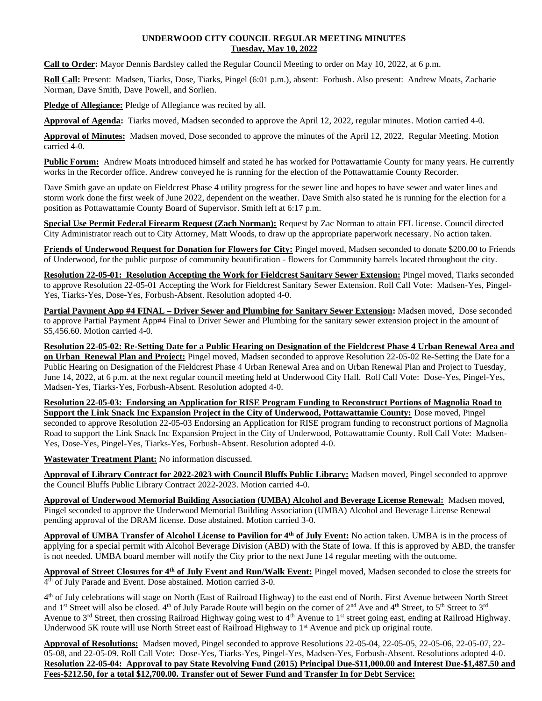## **UNDERWOOD CITY COUNCIL REGULAR MEETING MINUTES Tuesday, May 10, 2022**

**Call to Order:** Mayor Dennis Bardsley called the Regular Council Meeting to order on May 10, 2022, at 6 p.m.

**Roll Call:** Present: Madsen, Tiarks, Dose, Tiarks, Pingel (6:01 p.m.), absent: Forbush. Also present: Andrew Moats, Zacharie Norman, Dave Smith, Dave Powell, and Sorlien.

**Pledge of Allegiance:** Pledge of Allegiance was recited by all.

**Approval of Agenda:** Tiarks moved, Madsen seconded to approve the April 12, 2022, regular minutes. Motion carried 4-0.

**Approval of Minutes:** Madsen moved, Dose seconded to approve the minutes of the April 12, 2022, Regular Meeting. Motion carried 4-0.

**Public Forum:** Andrew Moats introduced himself and stated he has worked for Pottawattamie County for many years. He currently works in the Recorder office. Andrew conveyed he is running for the election of the Pottawattamie County Recorder.

Dave Smith gave an update on Fieldcrest Phase 4 utility progress for the sewer line and hopes to have sewer and water lines and storm work done the first week of June 2022, dependent on the weather. Dave Smith also stated he is running for the election for a position as Pottawattamie County Board of Supervisor. Smith left at 6:17 p.m.

**Special Use Permit Federal Firearm Request (Zach Norman):** Request by Zac Norman to attain FFL license. Council directed City Administrator reach out to City Attorney, Matt Woods, to draw up the appropriate paperwork necessary. No action taken.

**Friends of Underwood Request for Donation for Flowers for City:** Pingel moved, Madsen seconded to donate \$200.00 to Friends of Underwood, for the public purpose of community beautification - flowers for Community barrels located throughout the city.

**Resolution 22-05-01: Resolution Accepting the Work for Fieldcrest Sanitary Sewer Extension:** Pingel moved, Tiarks seconded to approve Resolution 22-05-01 Accepting the Work for Fieldcrest Sanitary Sewer Extension. Roll Call Vote: Madsen-Yes, Pingel-Yes, Tiarks-Yes, Dose-Yes, Forbush-Absent. Resolution adopted 4-0.

**Partial Payment App #4 FINAL – Driver Sewer and Plumbing for Sanitary Sewer Extension:** Madsen moved, Dose seconded to approve Partial Payment App#4 Final to Driver Sewer and Plumbing for the sanitary sewer extension project in the amount of \$5,456.60. Motion carried 4-0.

**Resolution 22-05-02: Re-Setting Date for a Public Hearing on Designation of the Fieldcrest Phase 4 Urban Renewal Area and on Urban Renewal Plan and Project:** Pingel moved, Madsen seconded to approve Resolution 22-05-02 Re-Setting the Date for a Public Hearing on Designation of the Fieldcrest Phase 4 Urban Renewal Area and on Urban Renewal Plan and Project to Tuesday, June 14, 2022, at 6 p.m. at the next regular council meeting held at Underwood City Hall. Roll Call Vote: Dose-Yes, Pingel-Yes, Madsen-Yes, Tiarks-Yes, Forbush-Absent. Resolution adopted 4-0.

**Resolution 22-05-03: Endorsing an Application for RISE Program Funding to Reconstruct Portions of Magnolia Road to Support the Link Snack Inc Expansion Project in the City of Underwood, Pottawattamie County:** Dose moved, Pingel seconded to approve Resolution 22-05-03 Endorsing an Application for RISE program funding to reconstruct portions of Magnolia Road to support the Link Snack Inc Expansion Project in the City of Underwood, Pottawattamie County. Roll Call Vote: Madsen-Yes, Dose-Yes, Pingel-Yes, Tiarks-Yes, Forbush-Absent. Resolution adopted 4-0.

**Wastewater Treatment Plant:** No information discussed.

**Approval of Library Contract for 2022-2023 with Council Bluffs Public Library:** Madsen moved, Pingel seconded to approve the Council Bluffs Public Library Contract 2022-2023. Motion carried 4-0.

**Approval of Underwood Memorial Building Association (UMBA) Alcohol and Beverage License Renewal:** Madsen moved, Pingel seconded to approve the Underwood Memorial Building Association (UMBA) Alcohol and Beverage License Renewal pending approval of the DRAM license. Dose abstained. Motion carried 3-0.

**Approval of UMBA Transfer of Alcohol License to Pavilion for 4th of July Event:** No action taken. UMBA is in the process of applying for a special permit with Alcohol Beverage Division (ABD) with the State of Iowa. If this is approved by ABD, the transfer is not needed. UMBA board member will notify the City prior to the next June 14 regular meeting with the outcome.

**Approval of Street Closures for 4th of July Event and Run/Walk Event:** Pingel moved, Madsen seconded to close the streets for 4 th of July Parade and Event. Dose abstained. Motion carried 3-0.

4<sup>th</sup> of July celebrations will stage on North (East of Railroad Highway) to the east end of North. First Avenue between North Street and 1<sup>st</sup> Street will also be closed.  $4<sup>th</sup>$  of July Parade Route will begin on the corner of  $2<sup>nd</sup>$  Ave and  $4<sup>th</sup>$  Street, to  $5<sup>th</sup>$  Street to  $3<sup>rd</sup>$ Avenue to 3<sup>rd</sup> Street, then crossing Railroad Highway going west to 4<sup>th</sup> Avenue to 1<sup>st</sup> street going east, ending at Railroad Highway. Underwood 5K route will use North Street east of Railroad Highway to 1<sup>st</sup> Avenue and pick up original route.

**Approval of Resolutions:** Madsen moved, Pingel seconded to approve Resolutions 22-05-04, 22-05-05, 22-05-06, 22-05-07, 22- 05-08, and 22-05-09. Roll Call Vote: Dose-Yes, Tiarks-Yes, Pingel-Yes, Madsen-Yes, Forbush-Absent. Resolutions adopted 4-0. **Resolution 22-05-04: Approval to pay State Revolving Fund (2015) Principal Due-\$11,000.00 and Interest Due-\$1,487.50 and Fees-\$212.50, for a total \$12,700.00. Transfer out of Sewer Fund and Transfer In for Debt Service:**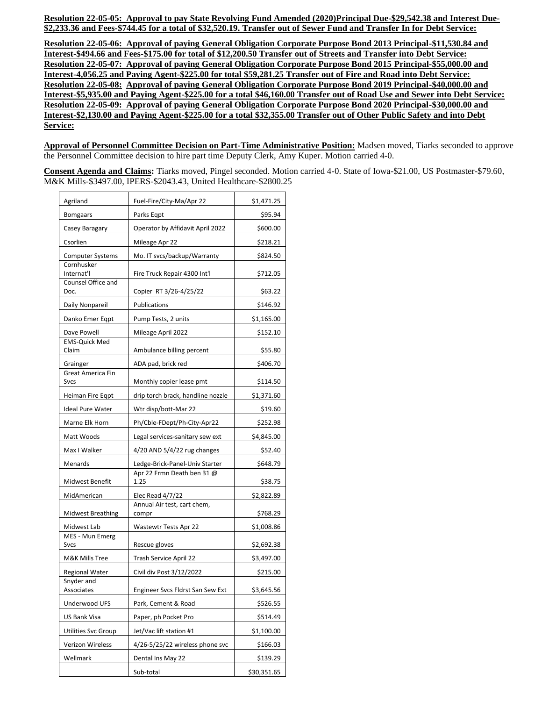**Resolution 22-05-05: Approval to pay State Revolving Fund Amended (2020)Principal Due-\$29,542.38 and Interest Due- \$2,233.36 and Fees-\$744.45 for a total of \$32,520.19. Transfer out of Sewer Fund and Transfer In for Debt Service:**

**Resolution 22-05-06: Approval of paying General Obligation Corporate Purpose Bond 2013 Principal-\$11,530.84 and Interest-\$494.66 and Fees-\$175.00 for total of \$12,200.50 Transfer out of Streets and Transfer into Debt Service: Resolution 22-05-07: Approval of paying General Obligation Corporate Purpose Bond 2015 Principal-\$55,000.00 and Interest-4,056.25 and Paying Agent-\$225.00 for total \$59,281.25 Transfer out of Fire and Road into Debt Service: Resolution 22-05-08: Approval of paying General Obligation Corporate Purpose Bond 2019 Principal-\$40,000.00 and Interest-\$5,935.00 and Paying Agent-\$225.00 for a total \$46,160.00 Transfer out of Road Use and Sewer into Debt Service: Resolution 22-05-09: Approval of paying General Obligation Corporate Purpose Bond 2020 Principal-\$30,000.00 and Interest-\$2,130.00 and Paying Agent-\$225.00 for a total \$32,355.00 Transfer out of Other Public Safety and into Debt Service:**

**Approval of Personnel Committee Decision on Part-Time Administrative Position:** Madsen moved, Tiarks seconded to approve the Personnel Committee decision to hire part time Deputy Clerk, Amy Kuper. Motion carried 4-0.

**Consent Agenda and Claims:** Tiarks moved, Pingel seconded. Motion carried 4-0. State of Iowa-\$21.00, US Postmaster-\$79.60, M&K Mills-\$3497.00, IPERS-\$2043.43, United Healthcare-\$2800.25

| Agriland                              | Fuel-Fire/City-Ma/Apr 22                                                                                                                                                        | \$1,471.25  |
|---------------------------------------|---------------------------------------------------------------------------------------------------------------------------------------------------------------------------------|-------------|
| <b>Bomgaars</b>                       | Parks Eqpt                                                                                                                                                                      | \$95.94     |
| Casey Baragary                        | Operator by Affidavit April 2022                                                                                                                                                | \$600.00    |
| Csorlien                              | Mileage Apr 22                                                                                                                                                                  | \$218.21    |
| <b>Computer Systems</b><br>Cornhusker | Mo. IT svcs/backup/Warranty                                                                                                                                                     | \$824.50    |
| Internat'l<br>Counsel Office and      | Fire Truck Repair 4300 Int'l<br>Copier RT 3/26-4/25/22<br><b>Publications</b><br>Pump Tests, 2 units<br>Mileage April 2022<br><b>EMS-Quick Med</b><br>Ambulance billing percent |             |
| Doc.                                  |                                                                                                                                                                                 |             |
| Daily Nonpareil                       |                                                                                                                                                                                 |             |
| Danko Emer Eqpt                       |                                                                                                                                                                                 |             |
| Dave Powell                           |                                                                                                                                                                                 |             |
| Claim                                 |                                                                                                                                                                                 |             |
| Grainger                              | ADA pad, brick red                                                                                                                                                              | \$406.70    |
| Great America Fin<br>Svcs             | Monthly copier lease pmt                                                                                                                                                        | \$114.50    |
| Heiman Fire Eqpt                      | drip torch brack, handline nozzle                                                                                                                                               | \$1,371.60  |
| Ideal Pure Water                      | Wtr disp/bott-Mar 22                                                                                                                                                            | \$19.60     |
| Marne Elk Horn                        | Ph/Cble-FDept/Ph-City-Apr22<br>Legal services-sanitary sew ext<br>$4/20$ AND 5/4/22 rug changes<br>Ledge-Brick-Panel-Univ Starter<br>Apr 22 Frmn Death ben 31 @<br>1.25         |             |
| Matt Woods                            |                                                                                                                                                                                 |             |
| Max I Walker                          |                                                                                                                                                                                 |             |
| Menards                               |                                                                                                                                                                                 |             |
| Midwest Benefit                       |                                                                                                                                                                                 |             |
| MidAmerican                           | Elec Read $4/7/22$                                                                                                                                                              | \$2,822.89  |
| Midwest Breathing                     | Annual Air test, cart chem,<br>compr                                                                                                                                            | \$768.29    |
| Midwest Lab                           | <b>Wastewtr Tests Apr 22</b>                                                                                                                                                    | \$1,008.86  |
| MES - Mun Emerg<br>Svcs               | Rescue gloves                                                                                                                                                                   | \$2,692.38  |
| M&K Mills Tree                        | Trash Service April 22                                                                                                                                                          | \$3,497.00  |
| <b>Regional Water</b><br>Snyder and   | Civil div Post 3/12/2022                                                                                                                                                        | \$215.00    |
| Associates                            | Engineer Svcs Fldrst San Sew Ext                                                                                                                                                | \$3,645.56  |
| Underwood UFS                         | Park, Cement & Road                                                                                                                                                             |             |
| US Bank Visa                          | Paper, ph Pocket Pro                                                                                                                                                            |             |
| Utilities Svc Group                   | Jet/Vac lift station #1                                                                                                                                                         | \$1,100.00  |
| Verizon Wireless                      | 4/26-5/25/22 wireless phone svc                                                                                                                                                 |             |
| Wellmark                              | Dental Ins May 22                                                                                                                                                               | \$139.29    |
|                                       | Sub-total                                                                                                                                                                       | \$30,351.65 |